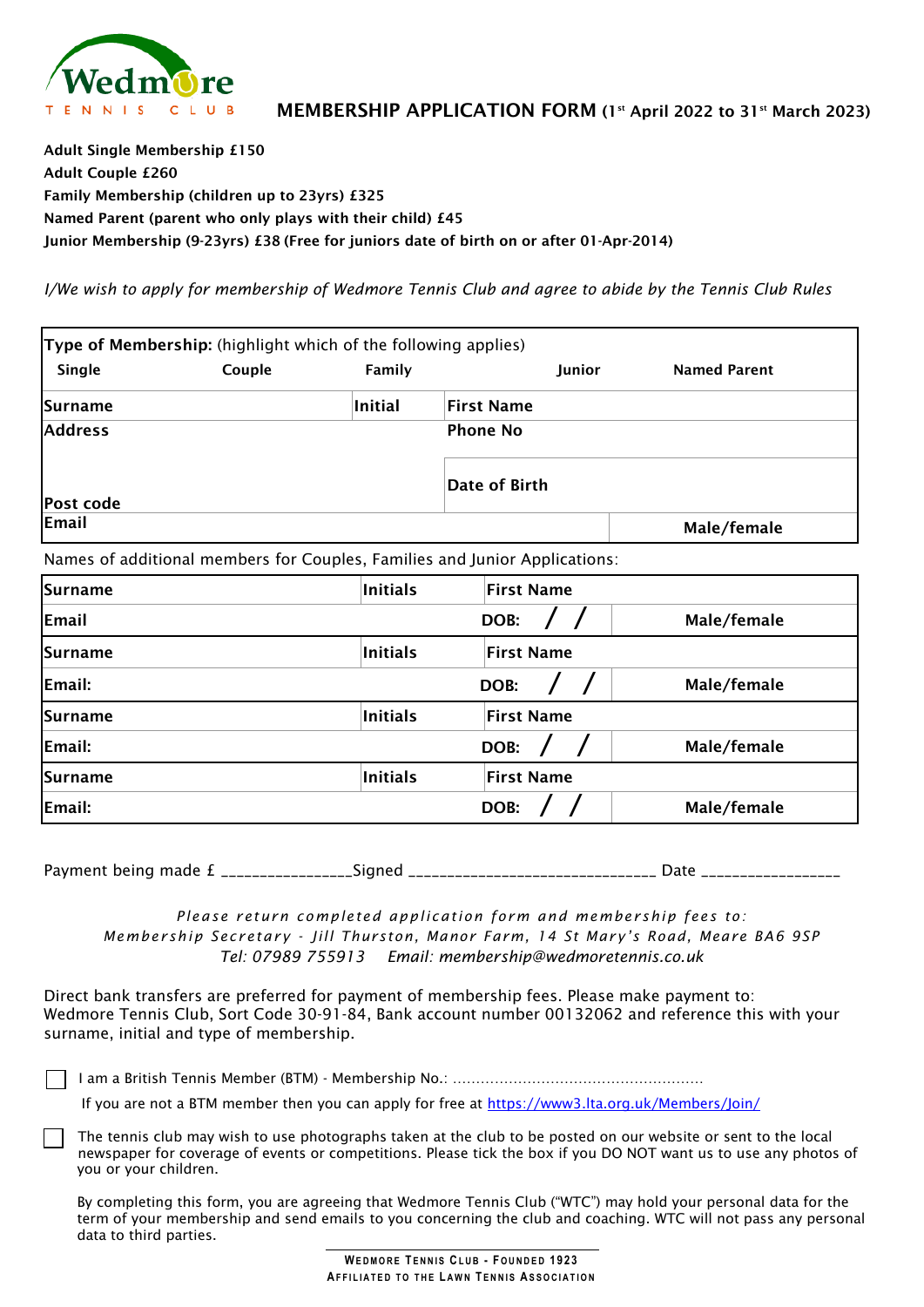

Adult Single Membership £150 Adult Couple £260 Family Membership (children up to 23yrs) £325 Named Parent (parent who only plays with their child) £45 Junior Membership (9-23yrs) £38 (Free for juniors date of birth on or after 01-Apr-2014)

*I/We wish to apply for membership of Wedmore Tennis Club and agree to abide by the Tennis Club Rules*

|                  | <b>Type of Membership:</b> (highlight which of the following applies) |                 |                                                                            |                     |
|------------------|-----------------------------------------------------------------------|-----------------|----------------------------------------------------------------------------|---------------------|
| Single           | Couple                                                                | Family          | Junior                                                                     | <b>Named Parent</b> |
| Surname          |                                                                       | <b>Initial</b>  | <b>First Name</b>                                                          |                     |
| <b>Address</b>   |                                                                       |                 | <b>Phone No</b>                                                            |                     |
| <b>Post code</b> |                                                                       |                 | Date of Birth                                                              |                     |
| Email            |                                                                       |                 |                                                                            | Male/female         |
|                  |                                                                       |                 | Names of additional members for Couples, Families and Junior Applications: |                     |
| Surname          |                                                                       | <b>Initials</b> | <b>First Name</b>                                                          |                     |
| Email            |                                                                       |                 | DOB:                                                                       | Male/female         |
| ISurname         |                                                                       | <b>Initials</b> | <b>First Name</b>                                                          |                     |
| Email:           |                                                                       |                 | DOB:                                                                       | Male/female         |
| Surname          |                                                                       | <b>Initials</b> | <b>First Name</b>                                                          |                     |
| Email:           |                                                                       |                 | DOB:                                                                       | Male/female         |
| Surname          |                                                                       | <b>Initials</b> | <b>First Name</b>                                                          |                     |

Payment being made £ \_\_\_\_\_\_\_\_\_\_\_\_\_\_\_\_\_Signed \_\_\_\_\_\_\_\_\_\_\_\_\_\_\_\_\_\_\_\_\_\_\_\_\_\_\_\_\_\_\_\_ Date \_\_\_\_\_\_\_\_\_\_\_\_\_\_\_\_\_\_

Email:  $\begin{array}{ccc} \text{Final:} & \hspace{1.5cm} & \text{Data} \end{array}$ 

*Please return completed application form and membership fees to: Membership Secretary - Jill Thurston, Manor Farm, 14 St Mary's Road, Meare BA6 9SP Tel: 07989 755913 Email: [membership@wedmoretennis.co.uk](mailto:membership@wedmoretennis.co.uk)*

Direct bank transfers are preferred for payment of membership fees. Please make payment to: Wedmore Tennis Club, Sort Code 30-91-84, Bank account number 00132062 and reference this with your surname, initial and type of membership.

I am a British Tennis Member (BTM) - Membership No.: ………………………………………………

If you are not a BTM member then you can apply for free at [https://www3.lta.org.uk/Members/Join/](https://www3.lta.org.uk/Members/Join/#_ga=2.114043015.1223744181.1647716029-1417011400.1639515197)

The tennis club may wish to use photographs taken at the club to be posted on our website or sent to the local newspaper for coverage of events or competitions. Please tick the box if you DO NOT want us to use any photos of you or your children.

By completing this form, you are agreeing that Wedmore Tennis Club ("WTC") may hold your personal data for the term of your membership and send emails to you concerning the club and coaching. WTC will not pass any personal data to third parties.